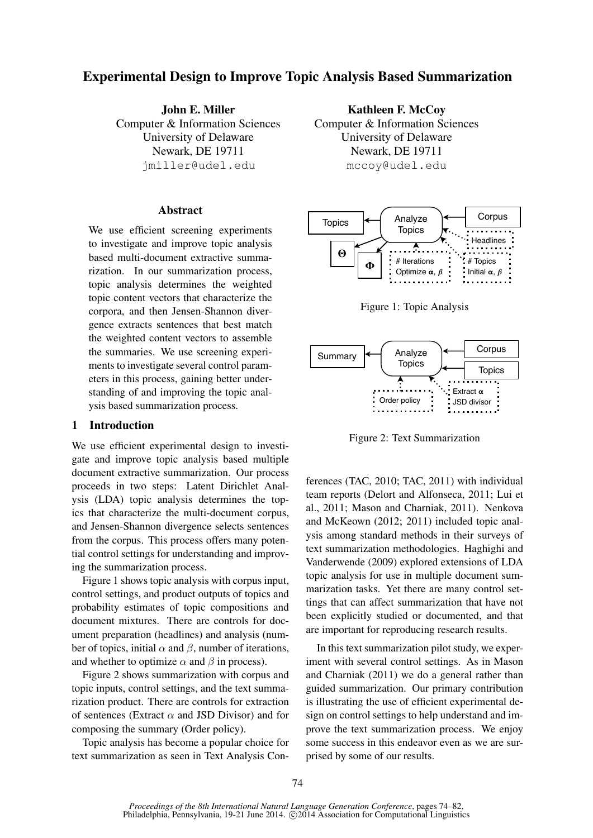# Experimental Design to Improve Topic Analysis Based Summarization

John E. Miller Computer & Information Sciences University of Delaware Newark, DE 19711 jmiller@udel.edu

### **Abstract**

We use efficient screening experiments to investigate and improve topic analysis based multi-document extractive summarization. In our summarization process, topic analysis determines the weighted topic content vectors that characterize the corpora, and then Jensen-Shannon divergence extracts sentences that best match the weighted content vectors to assemble the summaries. We use screening experiments to investigate several control parameters in this process, gaining better understanding of and improving the topic analysis based summarization process.

# 1 Introduction

We use efficient experimental design to investigate and improve topic analysis based multiple document extractive summarization. Our process proceeds in two steps: Latent Dirichlet Analysis (LDA) topic analysis determines the topics that characterize the multi-document corpus, and Jensen-Shannon divergence selects sentences from the corpus. This process offers many potential control settings for understanding and improving the summarization process.

Figure 1 shows topic analysis with corpus input, control settings, and product outputs of topics and probability estimates of topic compositions and document mixtures. There are controls for document preparation (headlines) and analysis (number of topics, initial  $\alpha$  and  $\beta$ , number of iterations, and whether to optimize  $\alpha$  and  $\beta$  in process).

Figure 2 shows summarization with corpus and topic inputs, control settings, and the text summarization product. There are controls for extraction of sentences (Extract  $\alpha$  and JSD Divisor) and for composing the summary (Order policy).

Topic analysis has become a popular choice for text summarization as seen in Text Analysis Con-

Kathleen F. McCoy Computer & Information Sciences University of Delaware Newark, DE 19711 mccoy@udel.edu



Figure 1: Topic Analysis



Figure 2: Text Summarization

ferences (TAC, 2010; TAC, 2011) with individual team reports (Delort and Alfonseca, 2011; Lui et al., 2011; Mason and Charniak, 2011). Nenkova and McKeown (2012; 2011) included topic analysis among standard methods in their surveys of text summarization methodologies. Haghighi and Vanderwende (2009) explored extensions of LDA topic analysis for use in multiple document summarization tasks. Yet there are many control settings that can affect summarization that have not been explicitly studied or documented, and that are important for reproducing research results.

In this text summarization pilot study, we experiment with several control settings. As in Mason and Charniak (2011) we do a general rather than guided summarization. Our primary contribution is illustrating the use of efficient experimental design on control settings to help understand and improve the text summarization process. We enjoy some success in this endeavor even as we are surprised by some of our results.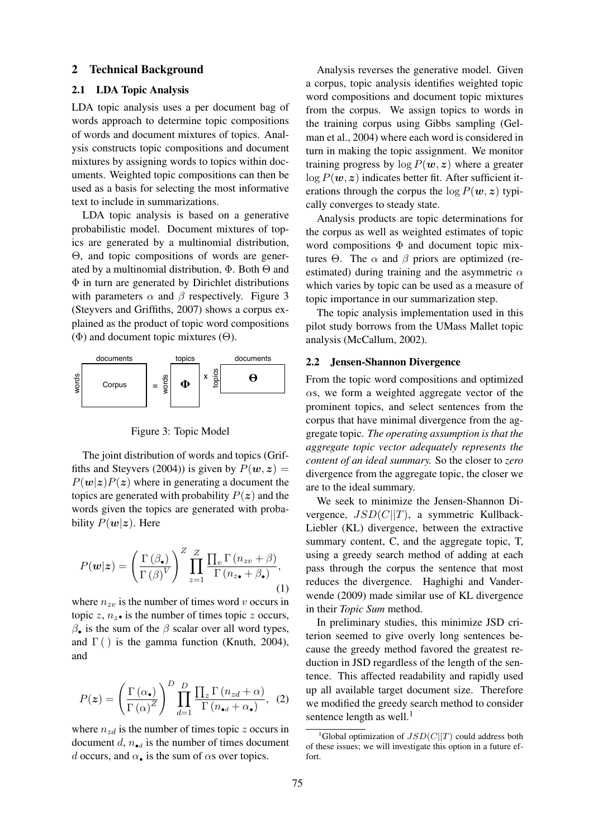#### 2 Technical Background

# 2.1 LDA Topic Analysis

LDA topic analysis uses a per document bag of words approach to determine topic compositions of words and document mixtures of topics. Analysis constructs topic compositions and document mixtures by assigning words to topics within documents. Weighted topic compositions can then be used as a basis for selecting the most informative text to include in summarizations.

LDA topic analysis is based on a generative probabilistic model. Document mixtures of topics are generated by a multinomial distribution, Θ, and topic compositions of words are generated by a multinomial distribution,  $\Phi$ . Both  $\Theta$  and Φ in turn are generated by Dirichlet distributions with parameters  $\alpha$  and  $\beta$  respectively. Figure 3 (Steyvers and Griffiths, 2007) shows a corpus explained as the product of topic word compositions  $(\Phi)$  and document topic mixtures  $(\Theta)$ .



Figure 3: Topic Model

The joint distribution of words and topics (Griffiths and Steyvers (2004)) is given by  $P(w, z) =$  $P(w|z)P(z)$  where in generating a document the topics are generated with probability  $P(z)$  and the words given the topics are generated with probability  $P(w|z)$ . Here

$$
P(\mathbf{w}|\mathbf{z}) = \left(\frac{\Gamma(\beta_{\bullet})}{\Gamma(\beta)^{V}}\right)^{Z} \prod_{z=1}^{Z} \frac{\prod_{v} \Gamma(n_{zv} + \beta)}{\Gamma(n_{z\bullet} + \beta_{\bullet})},\tag{1}
$$

where  $n_{zv}$  is the number of times word v occurs in topic z,  $n_z \bullet$  is the number of times topic z occurs,  $β_$  is the sum of the  $β$  scalar over all word types, and  $\Gamma$  () is the gamma function (Knuth, 2004), and

$$
P(z) = \left(\frac{\Gamma(\alpha_{\bullet})}{\Gamma(\alpha)^{Z}}\right)^{D} \prod_{d=1}^{D} \frac{\prod_{z} \Gamma(n_{zd} + \alpha)}{\Gamma(n_{\bullet d} + \alpha_{\bullet})}, \tag{2}
$$

where  $n_{zd}$  is the number of times topic z occurs in document d,  $n_{\bullet d}$  is the number of times document d occurs, and  $\alpha_{\bullet}$  is the sum of  $\alpha$ s over topics.

Analysis reverses the generative model. Given a corpus, topic analysis identifies weighted topic word compositions and document topic mixtures from the corpus. We assign topics to words in the training corpus using Gibbs sampling (Gelman et al., 2004) where each word is considered in turn in making the topic assignment. We monitor training progress by  $\log P(w, z)$  where a greater  $log P(w, z)$  indicates better fit. After sufficient iterations through the corpus the  $\log P(w, z)$  typically converges to steady state.

Analysis products are topic determinations for the corpus as well as weighted estimates of topic word compositions  $\Phi$  and document topic mixtures Θ. The  $\alpha$  and  $\beta$  priors are optimized (reestimated) during training and the asymmetric  $\alpha$ which varies by topic can be used as a measure of topic importance in our summarization step.

The topic analysis implementation used in this pilot study borrows from the UMass Mallet topic analysis (McCallum, 2002).

#### 2.2 Jensen-Shannon Divergence

From the topic word compositions and optimized  $\alpha$ s, we form a weighted aggregate vector of the prominent topics, and select sentences from the corpus that have minimal divergence from the aggregate topic. *The operating assumption is that the aggregate topic vector adequately represents the content of an ideal summary.* So the closer to *zero* divergence from the aggregate topic, the closer we are to the ideal summary.

We seek to minimize the Jensen-Shannon Divergence,  $JSD(C||T)$ , a symmetric Kullback-Liebler (KL) divergence, between the extractive summary content, C, and the aggregate topic, T, using a greedy search method of adding at each pass through the corpus the sentence that most reduces the divergence. Haghighi and Vanderwende (2009) made similar use of KL divergence in their *Topic Sum* method.

In preliminary studies, this minimize JSD criterion seemed to give overly long sentences because the greedy method favored the greatest reduction in JSD regardless of the length of the sentence. This affected readability and rapidly used up all available target document size. Therefore we modified the greedy search method to consider sentence length as well.<sup>1</sup>

<sup>&</sup>lt;sup>1</sup>Global optimization of  $JSD(C||T)$  could address both of these issues; we will investigate this option in a future effort.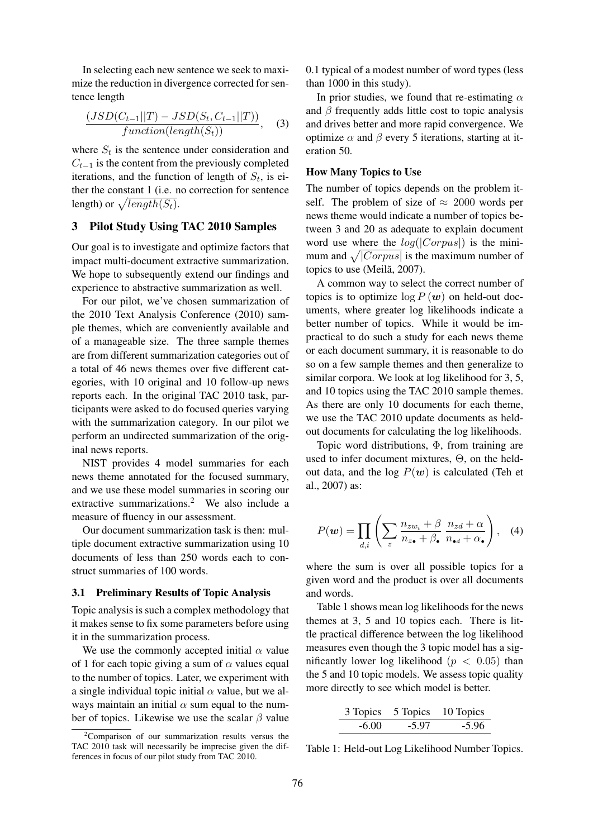In selecting each new sentence we seek to maximize the reduction in divergence corrected for sentence length

$$
\frac{(JSD(C_{t-1}||T) - JSD(S_t, C_{t-1}||T))}{function(length(S_t))},
$$
 (3)

where  $S_t$  is the sentence under consideration and  $C_{t-1}$  is the content from the previously completed iterations, and the function of length of  $S_t$ , is either the constant 1 (i.e. no correction for sentence length) or  $\sqrt{length(S_t)}$ .

# 3 Pilot Study Using TAC 2010 Samples

Our goal is to investigate and optimize factors that impact multi-document extractive summarization. We hope to subsequently extend our findings and experience to abstractive summarization as well.

For our pilot, we've chosen summarization of the 2010 Text Analysis Conference (2010) sample themes, which are conveniently available and of a manageable size. The three sample themes are from different summarization categories out of a total of 46 news themes over five different categories, with 10 original and 10 follow-up news reports each. In the original TAC 2010 task, participants were asked to do focused queries varying with the summarization category. In our pilot we perform an undirected summarization of the original news reports.

NIST provides 4 model summaries for each news theme annotated for the focused summary, and we use these model summaries in scoring our extractive summarizations.<sup>2</sup> We also include a measure of fluency in our assessment.

Our document summarization task is then: multiple document extractive summarization using 10 documents of less than 250 words each to construct summaries of 100 words.

### 3.1 Preliminary Results of Topic Analysis

Topic analysis is such a complex methodology that it makes sense to fix some parameters before using it in the summarization process.

We use the commonly accepted initial  $\alpha$  value of 1 for each topic giving a sum of  $\alpha$  values equal to the number of topics. Later, we experiment with a single individual topic initial  $\alpha$  value, but we always maintain an initial  $\alpha$  sum equal to the number of topics. Likewise we use the scalar  $\beta$  value

0.1 typical of a modest number of word types (less than 1000 in this study).

In prior studies, we found that re-estimating  $\alpha$ and  $\beta$  frequently adds little cost to topic analysis and drives better and more rapid convergence. We optimize  $\alpha$  and  $\beta$  every 5 iterations, starting at iteration 50.

#### How Many Topics to Use

The number of topics depends on the problem itself. The problem of size of  $\approx 2000$  words per news theme would indicate a number of topics between 3 and 20 as adequate to explain document word use where the  $log(|Corpus|)$  is the minimum and  $\sqrt{|Corpus|}$  is the maximum number of topics to use (Meilă, 2007).

A common way to select the correct number of topics is to optimize  $\log P(w)$  on held-out documents, where greater log likelihoods indicate a better number of topics. While it would be impractical to do such a study for each news theme or each document summary, it is reasonable to do so on a few sample themes and then generalize to similar corpora. We look at log likelihood for 3, 5, and 10 topics using the TAC 2010 sample themes. As there are only 10 documents for each theme, we use the TAC 2010 update documents as heldout documents for calculating the log likelihoods.

Topic word distributions, Φ, from training are used to infer document mixtures, Θ, on the heldout data, and the log  $P(w)$  is calculated (Teh et al., 2007) as:

$$
P(\mathbf{w}) = \prod_{d,i} \left( \sum_{z} \frac{n_{zw_i} + \beta}{n_{z\bullet} + \beta_{\bullet}} \frac{n_{zd} + \alpha}{n_{\bullet d} + \alpha_{\bullet}} \right), \quad (4)
$$

where the sum is over all possible topics for a given word and the product is over all documents and words.

Table 1 shows mean log likelihoods for the news themes at 3, 5 and 10 topics each. There is little practical difference between the log likelihood measures even though the 3 topic model has a significantly lower log likelihood ( $p < 0.05$ ) than the 5 and 10 topic models. We assess topic quality more directly to see which model is better.

|         | 3 Topics 5 Topics | 10 Topics |
|---------|-------------------|-----------|
| $-6.00$ | $-5.97$           | $-5.96$   |

Table 1: Held-out Log Likelihood Number Topics.

 $2^2$ Comparison of our summarization results versus the TAC 2010 task will necessarily be imprecise given the differences in focus of our pilot study from TAC 2010.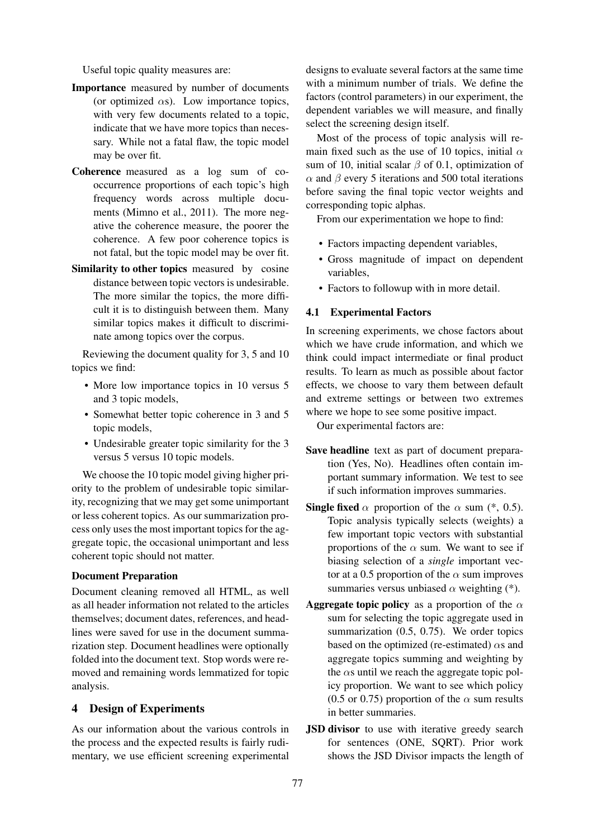Useful topic quality measures are:

- Importance measured by number of documents (or optimized  $\alpha s$ ). Low importance topics, with very few documents related to a topic, indicate that we have more topics than necessary. While not a fatal flaw, the topic model may be over fit.
- Coherence measured as a log sum of cooccurrence proportions of each topic's high frequency words across multiple documents (Mimno et al., 2011). The more negative the coherence measure, the poorer the coherence. A few poor coherence topics is not fatal, but the topic model may be over fit.
- Similarity to other topics measured by cosine distance between topic vectors is undesirable. The more similar the topics, the more difficult it is to distinguish between them. Many similar topics makes it difficult to discriminate among topics over the corpus.

Reviewing the document quality for 3, 5 and 10 topics we find:

- More low importance topics in 10 versus 5 and 3 topic models,
- Somewhat better topic coherence in 3 and 5 topic models,
- Undesirable greater topic similarity for the 3 versus 5 versus 10 topic models.

We choose the 10 topic model giving higher priority to the problem of undesirable topic similarity, recognizing that we may get some unimportant or less coherent topics. As our summarization process only uses the most important topics for the aggregate topic, the occasional unimportant and less coherent topic should not matter.

# Document Preparation

Document cleaning removed all HTML, as well as all header information not related to the articles themselves; document dates, references, and headlines were saved for use in the document summarization step. Document headlines were optionally folded into the document text. Stop words were removed and remaining words lemmatized for topic analysis.

# 4 Design of Experiments

As our information about the various controls in the process and the expected results is fairly rudimentary, we use efficient screening experimental

designs to evaluate several factors at the same time with a minimum number of trials. We define the factors (control parameters) in our experiment, the dependent variables we will measure, and finally select the screening design itself.

Most of the process of topic analysis will remain fixed such as the use of 10 topics, initial  $\alpha$ sum of 10, initial scalar  $\beta$  of 0.1, optimization of  $\alpha$  and  $\beta$  every 5 iterations and 500 total iterations before saving the final topic vector weights and corresponding topic alphas.

From our experimentation we hope to find:

- Factors impacting dependent variables,
- Gross magnitude of impact on dependent variables,
- Factors to followup with in more detail.

# 4.1 Experimental Factors

In screening experiments, we chose factors about which we have crude information, and which we think could impact intermediate or final product results. To learn as much as possible about factor effects, we choose to vary them between default and extreme settings or between two extremes where we hope to see some positive impact.

Our experimental factors are:

- Save headline text as part of document preparation (Yes, No). Headlines often contain important summary information. We test to see if such information improves summaries.
- **Single fixed**  $\alpha$  proportion of the  $\alpha$  sum (\*, 0.5). Topic analysis typically selects (weights) a few important topic vectors with substantial proportions of the  $\alpha$  sum. We want to see if biasing selection of a *single* important vector at a 0.5 proportion of the  $\alpha$  sum improves summaries versus unbiased  $\alpha$  weighting (\*).
- **Aggregate topic policy** as a proportion of the  $\alpha$ sum for selecting the topic aggregate used in summarization (0.5, 0.75). We order topics based on the optimized (re-estimated)  $\alpha$ s and aggregate topics summing and weighting by the  $\alpha$ s until we reach the aggregate topic policy proportion. We want to see which policy (0.5 or 0.75) proportion of the  $\alpha$  sum results in better summaries.
- JSD divisor to use with iterative greedy search for sentences (ONE, SQRT). Prior work shows the JSD Divisor impacts the length of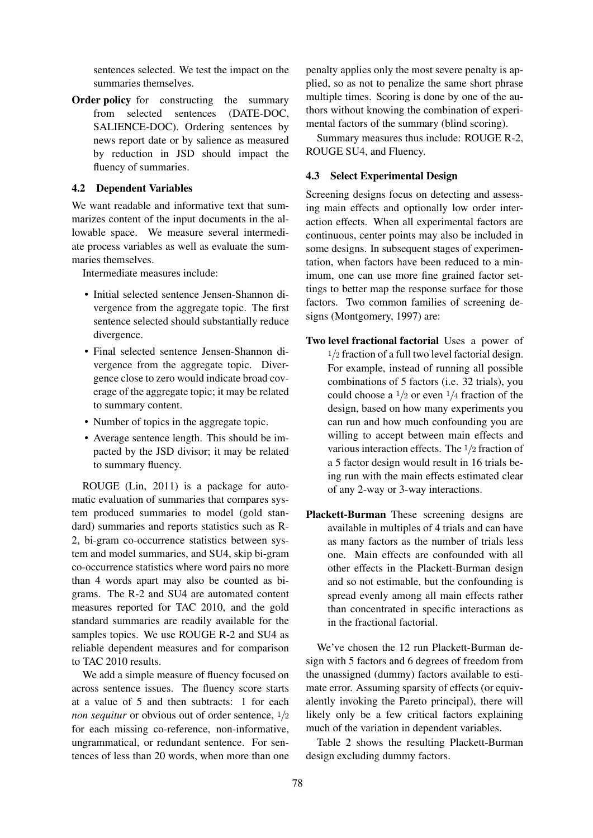sentences selected. We test the impact on the summaries themselves.

Order policy for constructing the summary from selected sentences (DATE-DOC, SALIENCE-DOC). Ordering sentences by news report date or by salience as measured by reduction in JSD should impact the fluency of summaries.

#### 4.2 Dependent Variables

We want readable and informative text that summarizes content of the input documents in the allowable space. We measure several intermediate process variables as well as evaluate the summaries themselves.

Intermediate measures include:

- Initial selected sentence Jensen-Shannon divergence from the aggregate topic. The first sentence selected should substantially reduce divergence.
- Final selected sentence Jensen-Shannon divergence from the aggregate topic. Divergence close to zero would indicate broad coverage of the aggregate topic; it may be related to summary content.
- Number of topics in the aggregate topic.
- Average sentence length. This should be impacted by the JSD divisor; it may be related to summary fluency.

ROUGE (Lin, 2011) is a package for automatic evaluation of summaries that compares system produced summaries to model (gold standard) summaries and reports statistics such as R-2, bi-gram co-occurrence statistics between system and model summaries, and SU4, skip bi-gram co-occurrence statistics where word pairs no more than 4 words apart may also be counted as bigrams. The R-2 and SU4 are automated content measures reported for TAC 2010, and the gold standard summaries are readily available for the samples topics. We use ROUGE R-2 and SU4 as reliable dependent measures and for comparison to TAC 2010 results.

We add a simple measure of fluency focused on across sentence issues. The fluency score starts at a value of 5 and then subtracts: 1 for each *non sequitur* or obvious out of order sentence,  $\frac{1}{2}$ for each missing co-reference, non-informative, ungrammatical, or redundant sentence. For sentences of less than 20 words, when more than one penalty applies only the most severe penalty is applied, so as not to penalize the same short phrase multiple times. Scoring is done by one of the authors without knowing the combination of experimental factors of the summary (blind scoring).

Summary measures thus include: ROUGE R-2, ROUGE SU4, and Fluency.

# 4.3 Select Experimental Design

Screening designs focus on detecting and assessing main effects and optionally low order interaction effects. When all experimental factors are continuous, center points may also be included in some designs. In subsequent stages of experimentation, when factors have been reduced to a minimum, one can use more fine grained factor settings to better map the response surface for those factors. Two common families of screening designs (Montgomery, 1997) are:

- Two level fractional factorial Uses a power of  $1/2$  fraction of a full two level factorial design. For example, instead of running all possible combinations of 5 factors (i.e. 32 trials), you could choose a  $\frac{1}{2}$  or even  $\frac{1}{4}$  fraction of the design, based on how many experiments you can run and how much confounding you are willing to accept between main effects and various interaction effects. The 1/2 fraction of a 5 factor design would result in 16 trials being run with the main effects estimated clear of any 2-way or 3-way interactions.
- Plackett-Burman These screening designs are available in multiples of 4 trials and can have as many factors as the number of trials less one. Main effects are confounded with all other effects in the Plackett-Burman design and so not estimable, but the confounding is spread evenly among all main effects rather than concentrated in specific interactions as in the fractional factorial.

We've chosen the 12 run Plackett-Burman design with 5 factors and 6 degrees of freedom from the unassigned (dummy) factors available to estimate error. Assuming sparsity of effects (or equivalently invoking the Pareto principal), there will likely only be a few critical factors explaining much of the variation in dependent variables.

Table 2 shows the resulting Plackett-Burman design excluding dummy factors.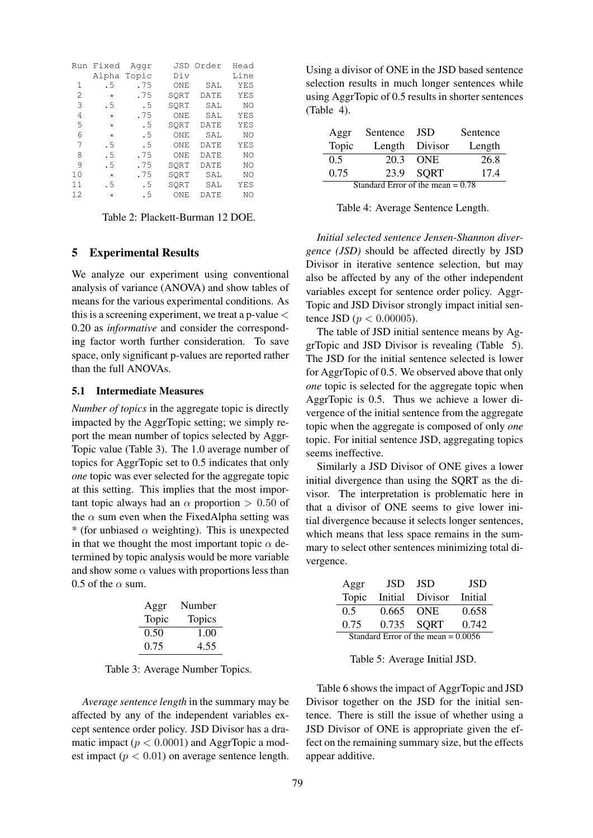| Run | Fixed   | Aggr  | JSD.            | Order       | Head |
|-----|---------|-------|-----------------|-------------|------|
|     | Alpha   | Topic | Div             |             | Line |
| 1   | . 5     | .75   | ONE             | SAL         | YES  |
| 2   | $\star$ | .75   | SORT            | DATE        | YES  |
| 3   | .5      | .5    | SORT            | SAL         | NO   |
| 4   | $\star$ | .75   | ONE             | SAT.        | YES  |
| 5   | $\star$ | .5    | SORT            | <b>DATE</b> | YES  |
| 6   | $\star$ | .5    | ONE             | SAL         | NO   |
| 7   | .5      | .5    | ONE             | <b>DATE</b> | YES  |
| 8   | .5      | .75   | ON <sub>F</sub> | <b>DATE</b> | NO   |
| 9   | .5      | .75   | SORT            | DATE        | NO   |
| 10  | $\star$ | .75   | SORT            | SAL         | NO   |
| 11  | .5      | .5    | SORT            | SAL         | YES  |
| 12  | $\star$ | . 5   | ONE             | DATE        | NO   |

Table 2: Plackett-Burman 12 DOE.

#### 5 Experimental Results

We analyze our experiment using conventional analysis of variance (ANOVA) and show tables of means for the various experimental conditions. As this is a screening experiment, we treat a p-value  $\lt$ 0.20 as *informative* and consider the corresponding factor worth further consideration. To save space, only significant p-values are reported rather than the full ANOVAs.

### 5.1 Intermediate Measures

*Number of topics* in the aggregate topic is directly impacted by the AggrTopic setting; we simply report the mean number of topics selected by Aggr-Topic value (Table 3). The 1.0 average number of topics for AggrTopic set to 0.5 indicates that only *one* topic was ever selected for the aggregate topic at this setting. This implies that the most important topic always had an  $\alpha$  proportion  $> 0.50$  of the  $\alpha$  sum even when the FixedAlpha setting was \* (for unbiased  $\alpha$  weighting). This is unexpected in that we thought the most important topic  $\alpha$  determined by topic analysis would be more variable and show some  $\alpha$  values with proportions less than 0.5 of the  $\alpha$  sum.

| Aggr  | Number        |
|-------|---------------|
| Topic | <b>Topics</b> |
| 0.50  | 1.00          |
| 0.75  | 4.55          |

Table 3: Average Number Topics.

*Average sentence length* in the summary may be affected by any of the independent variables except sentence order policy. JSD Divisor has a dramatic impact ( $p < 0.0001$ ) and AggrTopic a modest impact ( $p < 0.01$ ) on average sentence length.

Using a divisor of ONE in the JSD based sentence selection results in much longer sentences while using AggrTopic of 0.5 results in shorter sentences (Table 4).

| Aggr                                | Sentence | JSD            | Sentence |
|-------------------------------------|----------|----------------|----------|
| Topic                               |          | Length Divisor | Length   |
| 0.5                                 |          | 20.3 ONE       | 26.8     |
| 0.75                                | 23.9     | SQRT           | 17.4     |
| Standard Error of the mean $= 0.78$ |          |                |          |

Table 4: Average Sentence Length.

*Initial selected sentence Jensen-Shannon divergence (JSD)* should be affected directly by JSD Divisor in iterative sentence selection, but may also be affected by any of the other independent variables except for sentence order policy. Aggr-Topic and JSD Divisor strongly impact initial sentence JSD ( $p < 0.00005$ ).

The table of JSD initial sentence means by AggrTopic and JSD Divisor is revealing (Table 5). The JSD for the initial sentence selected is lower for AggrTopic of 0.5. We observed above that only *one* topic is selected for the aggregate topic when AggrTopic is 0.5. Thus we achieve a lower divergence of the initial sentence from the aggregate topic when the aggregate is composed of only *one* topic. For initial sentence JSD, aggregating topics seems ineffective.

Similarly a JSD Divisor of ONE gives a lower initial divergence than using the SQRT as the divisor. The interpretation is problematic here in that a divisor of ONE seems to give lower initial divergence because it selects longer sentences, which means that less space remains in the summary to select other sentences minimizing total divergence.

| Aggr                                  | <b>JSD</b> | JSD        | <b>JSD</b> |
|---------------------------------------|------------|------------|------------|
| Topic                                 | Initial    | Divisor    | Initial    |
| $0.5^{\circ}$                         | 0.665      | <b>ONE</b> | 0.658      |
| 0.75                                  | 0.735      | SORT       | 0.742      |
| Standard Error of the mean $= 0.0056$ |            |            |            |

Table 5: Average Initial JSD.

Table 6 shows the impact of AggrTopic and JSD Divisor together on the JSD for the initial sentence. There is still the issue of whether using a JSD Divisor of ONE is appropriate given the effect on the remaining summary size, but the effects appear additive.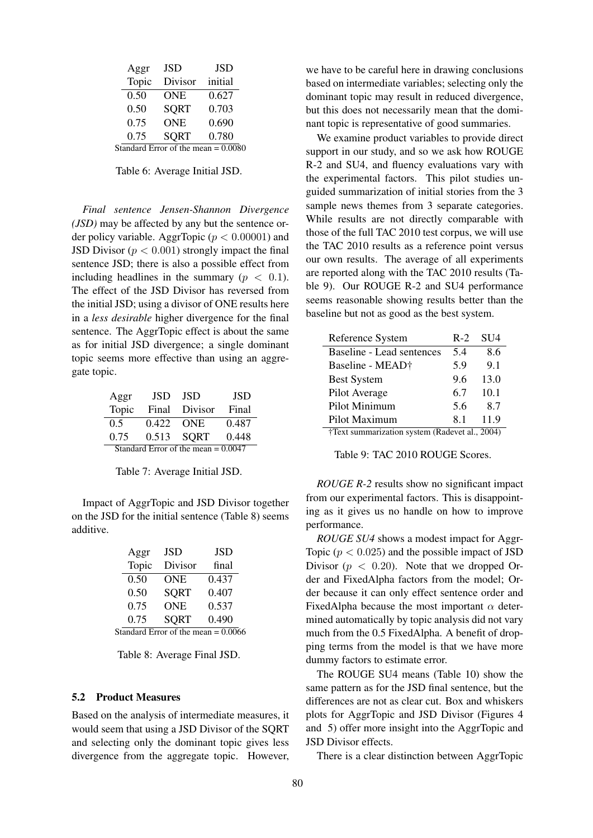| Aggr  | JSD                                   | JSD     |
|-------|---------------------------------------|---------|
| Topic | Divisor                               | initial |
| 0.50  | <b>ONE</b>                            | 0.627   |
| 0.50  | <b>SORT</b>                           | 0.703   |
| 0.75  | <b>ONE</b>                            | 0.690   |
| 0.75  | <b>SORT</b>                           | 0.780   |
|       | Standard Error of the mean $= 0.0080$ |         |

Table 6: Average Initial JSD.

*Final sentence Jensen-Shannon Divergence (JSD)* may be affected by any but the sentence order policy variable. AggrTopic ( $p < 0.00001$ ) and JSD Divisor ( $p < 0.001$ ) strongly impact the final sentence JSD; there is also a possible effect from including headlines in the summary ( $p < 0.1$ ). The effect of the JSD Divisor has reversed from the initial JSD; using a divisor of ONE results here in a *less desirable* higher divergence for the final sentence. The AggrTopic effect is about the same as for initial JSD divergence; a single dominant topic seems more effective than using an aggregate topic.

| Aggr                                  | JSD.      | -ISD    | <b>JSD</b> |  |
|---------------------------------------|-----------|---------|------------|--|
| Topic                                 | Final     | Divisor | Final      |  |
| 0.5                                   | 0.422 ONE |         | 0.487      |  |
| 0.75                                  | 0.513     | SORT    | 0.448      |  |
| Standard Error of the mean $= 0.0047$ |           |         |            |  |

Table 7: Average Initial JSD.

Impact of AggrTopic and JSD Divisor together on the JSD for the initial sentence (Table 8) seems additive.

| Aggr  | <b>JSD</b>                            | JSD   |
|-------|---------------------------------------|-------|
| Topic | Divisor                               | final |
| 0.50  | <b>ONE</b>                            | 0.437 |
| 0.50  | <b>SORT</b>                           | 0.407 |
| 0.75  | <b>ONE</b>                            | 0.537 |
| 0.75  | <b>SORT</b>                           | 0.490 |
|       | Standard Error of the mean $= 0.0066$ |       |

Table 8: Average Final JSD.

#### 5.2 Product Measures

Based on the analysis of intermediate measures, it would seem that using a JSD Divisor of the SQRT and selecting only the dominant topic gives less divergence from the aggregate topic. However,

we have to be careful here in drawing conclusions based on intermediate variables; selecting only the dominant topic may result in reduced divergence, but this does not necessarily mean that the dominant topic is representative of good summaries.

We examine product variables to provide direct support in our study, and so we ask how ROUGE R-2 and SU4, and fluency evaluations vary with the experimental factors. This pilot studies unguided summarization of initial stories from the 3 sample news themes from 3 separate categories. While results are not directly comparable with those of the full TAC 2010 test corpus, we will use the TAC 2010 results as a reference point versus our own results. The average of all experiments are reported along with the TAC 2010 results (Table 9). Our ROUGE R-2 and SU4 performance seems reasonable showing results better than the baseline but not as good as the best system.

| Reference System                       | $R-2$ | <b>SU4</b> |
|----------------------------------------|-------|------------|
| Baseline - Lead sentences              | 5.4   | 8.6        |
| Baseline - MEAD†                       | 5.9   | 9.1        |
| <b>Best System</b>                     | 9.6   | 13.0       |
| Pilot Average                          | 6.7   | 10.1       |
| Pilot Minimum                          | 5.6   | 8.7        |
| Pilot Maximum                          | 81    | 11.9       |
| +Toyt cummorization gystem (Dadayat al |       | 2004)      |

†Text summarization system (Radevet al., 2004)

Table 9: TAC 2010 ROUGE Scores.

*ROUGE R-2* results show no significant impact from our experimental factors. This is disappointing as it gives us no handle on how to improve performance.

*ROUGE SU4* shows a modest impact for Aggr-Topic ( $p < 0.025$ ) and the possible impact of JSD Divisor ( $p < 0.20$ ). Note that we dropped Order and FixedAlpha factors from the model; Order because it can only effect sentence order and FixedAlpha because the most important  $\alpha$  determined automatically by topic analysis did not vary much from the 0.5 FixedAlpha. A benefit of dropping terms from the model is that we have more dummy factors to estimate error.

The ROUGE SU4 means (Table 10) show the same pattern as for the JSD final sentence, but the differences are not as clear cut. Box and whiskers plots for AggrTopic and JSD Divisor (Figures 4 and 5) offer more insight into the AggrTopic and JSD Divisor effects.

There is a clear distinction between AggrTopic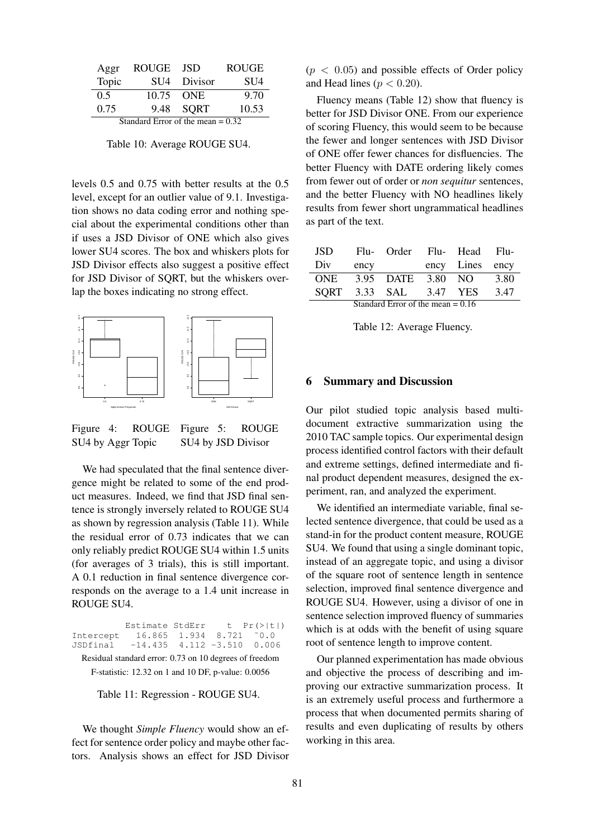| Aggr                                | <b>ROUGE</b> | -ISD      | <b>ROUGE</b> |
|-------------------------------------|--------------|-----------|--------------|
| Topic                               | SU4          | Divisor   | <b>SU4</b>   |
| 0.5                                 |              | 10.75 ONE | 9.70         |
| 0.75                                |              | 9.48 SORT | 10.53        |
| Standard Error of the mean $= 0.32$ |              |           |              |

Table 10: Average ROUGE SU4.

levels 0.5 and 0.75 with better results at the 0.5 level, except for an outlier value of 9.1. Investigation shows no data coding error and nothing special about the experimental conditions other than if uses a JSD Divisor of ONE which also gives lower SU4 scores. The box and whiskers plots for JSD Divisor effects also suggest a positive effect for JSD Divisor of SQRT, but the whiskers overlap the boxes indicating no strong effect.



Figure 4: ROUGE SU4 by Aggr Topic Figure 5: ROUGE SU4 by JSD Divisor

We had speculated that the final sentence divergence might be related to some of the end product measures. Indeed, we find that JSD final sentence is strongly inversely related to ROUGE SU4 as shown by regression analysis (Table 11). While the residual error of 0.73 indicates that we can only reliably predict ROUGE SU4 within 1.5 units (for averages of 3 trials), this is still important. A 0.1 reduction in final sentence divergence corresponds on the average to a 1.4 unit increase in ROUGE SU4.

Estimate StdErr t Pr(>|t|)<br>16.865 1.934 8.721 ~0.0 Intercept 16.865 1.934 8.721 ˜0.0 JSDfinal -14.435 4.112 -3.510 0.006 Residual standard error: 0.73 on 10 degrees of freedom F-statistic: 12.32 on 1 and 10 DF, p-value: 0.0056

Table 11: Regression - ROUGE SU4.

We thought *Simple Fluency* would show an effect for sentence order policy and maybe other factors. Analysis shows an effect for JSD Divisor  $(p < 0.05)$  and possible effects of Order policy and Head lines ( $p < 0.20$ ).

Fluency means (Table 12) show that fluency is better for JSD Divisor ONE. From our experience of scoring Fluency, this would seem to be because the fewer and longer sentences with JSD Divisor of ONE offer fewer chances for disfluencies. The better Fluency with DATE ordering likely comes from fewer out of order or *non sequitur* sentences, and the better Fluency with NO headlines likely results from fewer short ungrammatical headlines as part of the text.

| JSD.                                |      | Flu- Order Flu- Head Flu- |  |                 |      |
|-------------------------------------|------|---------------------------|--|-----------------|------|
| Div                                 | ency |                           |  | ency Lines ency |      |
| ONE                                 |      | 3.95 DATE                 |  | 3.80 NO 3.80    |      |
|                                     |      | SQRT 3.33 SAL 3.47 YES    |  |                 | 3.47 |
| Standard Error of the mean $= 0.16$ |      |                           |  |                 |      |

Table 12: Average Fluency.

### 6 Summary and Discussion

Our pilot studied topic analysis based multidocument extractive summarization using the 2010 TAC sample topics. Our experimental design process identified control factors with their default and extreme settings, defined intermediate and final product dependent measures, designed the experiment, ran, and analyzed the experiment.

We identified an intermediate variable, final selected sentence divergence, that could be used as a stand-in for the product content measure, ROUGE SU4. We found that using a single dominant topic, instead of an aggregate topic, and using a divisor of the square root of sentence length in sentence selection, improved final sentence divergence and ROUGE SU4. However, using a divisor of one in sentence selection improved fluency of summaries which is at odds with the benefit of using square root of sentence length to improve content.

Our planned experimentation has made obvious and objective the process of describing and improving our extractive summarization process. It is an extremely useful process and furthermore a process that when documented permits sharing of results and even duplicating of results by others working in this area.